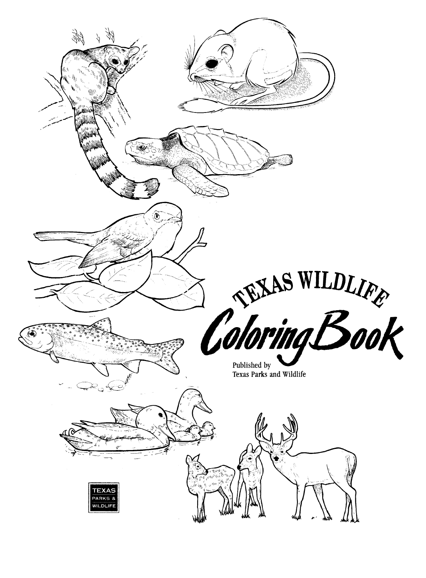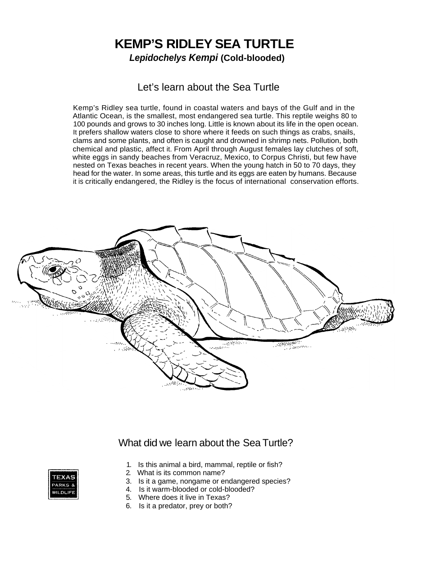## **KEMP'S RIDLEY SEA TURTLE**  *Lepidochelys Kempi* **(Cold-blooded)**

### Let's learn about the Sea Turtle

Kemp's Ridley sea turtle, found in coastal waters and bays of the Gulf and in the Atlantic Ocean, is the smallest, most endangered sea turtle. This reptile weighs 80 to 100 pounds and grows to 30 inches long. Little is known about its life in the open ocean. It prefers shallow waters close to shore where it feeds on such things as crabs, snails, clams and some plants, and often is caught and drowned in shrimp nets. Pollution, both chemical and plastic, affect it. From April through August females lay clutches of soft, white eggs in sandy beaches from Veracruz, Mexico, to Corpus Christi, but few have nested on Texas beaches in recent years. When the young hatch in 50 to 70 days, they head for the water. In some areas, this turtle and its eggs are eaten by humans. Because it is critically endangered, the Ridley is the focus of international conservation efforts.



### What did we learn about the Sea Turtle?



- 1. Is this animal a bird, mammal, reptile or fish?
- 2. What is its common name?
- 3. Is it a game, nongame or endangered species?
- 4. Is it warm-blooded or cold-blooded?
- 5. Where does it live in Texas?
- 6. Is it a predator, prey or both?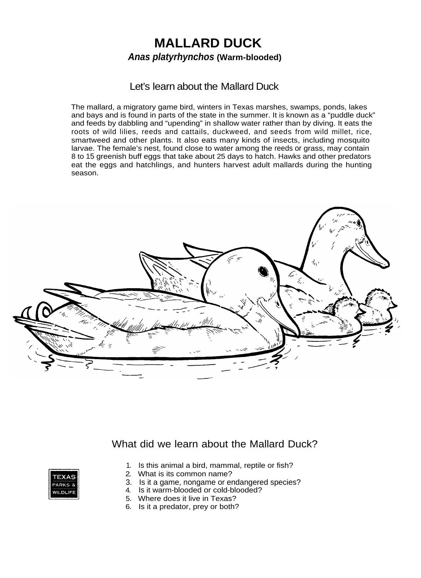## **MALLARD DUCK**  *Anas platyrhynchos* **(Warm-blooded)**

#### Let's learn about the Mallard Duck

The mallard, a migratory game bird, winters in Texas marshes, swamps, ponds, lakes and bays and is found in parts of the state in the summer. It is known as a "puddle duck" and feeds by dabbling and "upending" in shallow water rather than by diving. It eats the roots of wild lilies, reeds and cattails, duckweed, and seeds from wild millet, rice, smartweed and other plants. It also eats many kinds of insects, including mosquito larvae. The female's nest, found close to water among the reeds or grass, may contain 8 to 15 greenish buff eggs that take about 25 days to hatch. Hawks and other predators eat the eggs and hatchlings, and hunters harvest adult mallards during the hunting season.



### What did we learn about the Mallard Duck?



- 1. Is this animal a bird, mammal, reptile or fish?
- 2. What is its common name?
- 3. Is it a game, nongame or endangered species?
- 4. Is it warm-blooded or cold-blooded?
- 5. Where does it live in Texas?
- 6. Is it a predator, prey or both?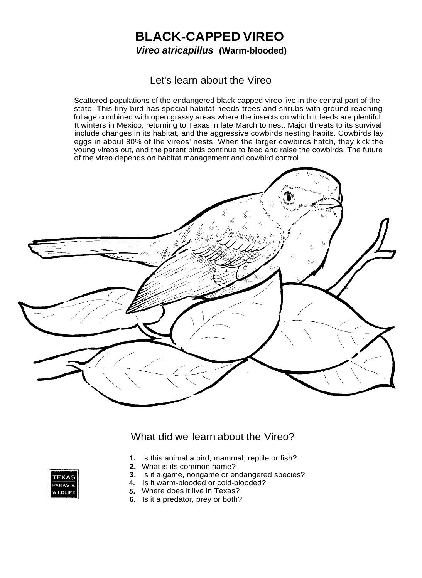# **BLACK-CAPPED VIREO**  *Vireo atricapillus* **(Warm-blooded)**

### Let's learn about the Vireo

Scattered populations of the endangered black-capped vireo live in the central part of the state. This tiny bird has special habitat needs-trees and shrubs with ground-reaching foliage combined with open grassy areas where the insects on which it feeds are plentiful. It winters in Mexico, returning to Texas in late March to nest. Major threats to its survival include changes in its habitat, and the aggressive cowbirds nesting habits. Cowbirds lay eggs in about 80% of the vireos' nests. When the larger cowbirds hatch, they kick the young vireos out, and the parent birds continue to feed and raise the cowbirds. The future of the vireo depends on habitat management and cowbird control.



What did we learn about the Vireo?

- **1.** Is this animal a bird, mammal, reptile or fish?
- **2.** What is its common name?
- **3.** Is it a game, nongame or endangered species?
- **4.** Is it warm-blooded or cold-blooded?
- *5.* Where does it live in Texas?
- **6.** Is it a predator, prey or both?

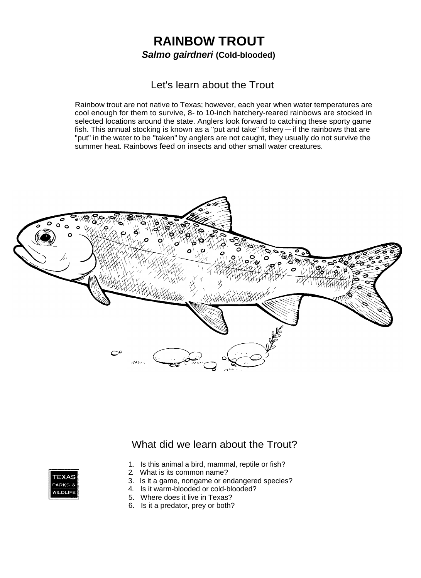# **RAINBOW TROUT**  *Salmo gairdneri* **(Cold-blooded)**

#### Let's learn about the Trout

Rainbow trout are not native to Texas; however, each year when water temperatures are cool enough for them to survive, 8- to 10-inch hatchery-reared rainbows are stocked in selected locations around the state. Anglers look forward to catching these sporty game cool enough for them to survive, 8- to 10-inch hatchery-reared rainbows are stocked in<br>selected locations around the state. Anglers look forward to catching these sporty game<br>fish. This annual stocking is known as a "put a "put" in the water to be "taken" by anglers are not caught, they usually do not survive the summer heat. Rainbows feed on insects and other small water creatures.



### What did we learn about the Trout?



- 1. Is this animal a bird, mammal, reptile or fish?
- 2. What is its common name?
- 3. Is it a game, nongame or endangered species?
- 4. Is it warm-blooded or cold-blooded?
- 5. Where does it live in Texas?
- 6. Is it a predator, prey or both?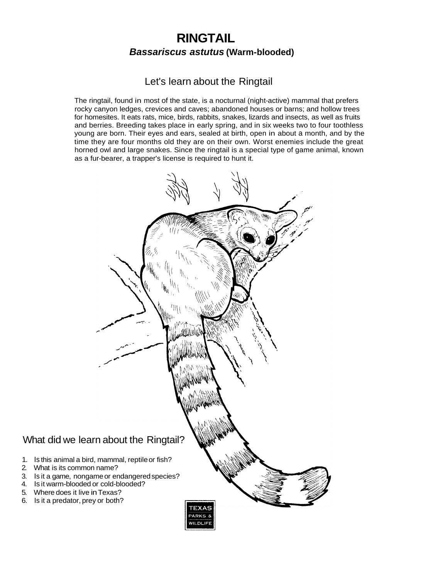### **RINGTAIL**  *Bassariscus astutus* **(Warm-blooded)**

### Let's learn about the Ringtail

The ringtail, found in most of the state, is a nocturnal (night-active) mammal that prefers rocky canyon ledges, crevices and caves; abandoned houses or barns; and hollow trees for homesites. It eats rats, mice, birds, rabbits, snakes, lizards and insects, as well as fruits and berries. Breeding takes place in early spring, and in six weeks two to four toothless young are born. Their eyes and ears, sealed at birth, open in about a month, and by the time they are four months old they are on their own. Worst enemies include the great horned owl and large snakes. Since the ringtail is a special type of game animal, known as a fur-bearer, a trapper's license is required to hunt it.

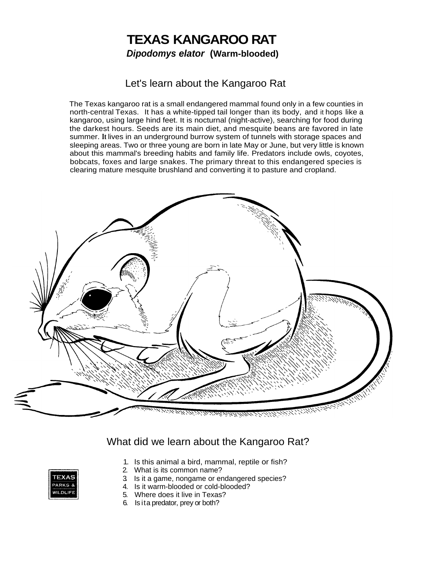## **TEXAS KANGAROO RAT**  *Dipodomys elator* **(Warm-blooded)**

#### Let's learn about the Kangaroo Rat

The Texas kangaroo rat is a small endangered mammal found only in a few counties in north-central Texas. It has a white-tipped tail longer than its body, and it hops like a kangaroo, using large hind feet. It is nocturnal (night-active), searching for food during the darkest hours. Seeds are its main diet, and mesquite beans are favored in late summer. **It** lives in an underground burrow system of tunnels with storage spaces and sleeping areas. Two or three young are born in late May or June, but very little is known about this mammal's breeding habits and family life. Predators include owls, coyotes, bobcats, foxes and large snakes. The primary threat to this endangered species is clearing mature mesquite brushland and converting it to pasture and cropland.



### What did we learn about the Kangaroo Rat?



- 1. Is this animal a bird, mammal, reptile or fish?
- 2. What is its common name?
- 3. Is it a game, nongame or endangered species?
- 4. Is it warm-blooded or cold-blooded?
- 5. Where does it live in Texas?
- 6. Is ita predator, prey or both?